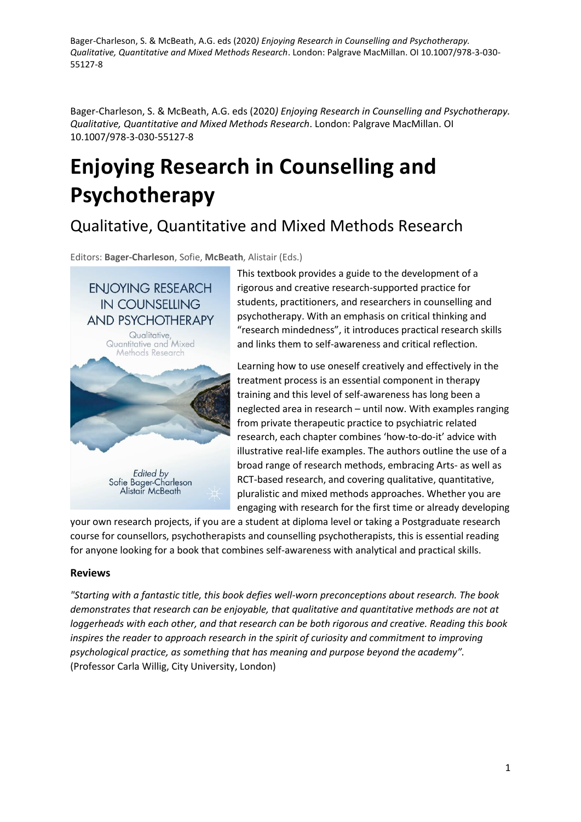Bager-Charleson, S. & McBeath, A.G. eds (2020*) Enjoying Research in Counselling and Psychotherapy. Qualitative, Quantitative and Mixed Methods Research*. London: Palgrave MacMillan. OI 10.1007/978-3-030- 55127-8

Bager-Charleson, S. & McBeath, A.G. eds (2020*) Enjoying Research in Counselling and Psychotherapy. Qualitative, Quantitative and Mixed Methods Research*. London: Palgrave MacMillan. OI 10.1007/978-3-030-55127-8

# **Enjoying Research in Counselling and Psychotherapy**

# Qualitative, Quantitative and Mixed Methods Research

Editors: **Bager-Charleson**, Sofie, **McBeath**, Alistair (Eds.)



This textbook provides a guide to the development of a rigorous and creative research-supported practice for students, practitioners, and researchers in counselling and psychotherapy. With an emphasis on critical thinking and "research mindedness", it introduces practical research skills and links them to self-awareness and critical reflection.

Learning how to use oneself creatively and effectively in the treatment process is an essential component in therapy training and this level of self-awareness has long been a neglected area in research – until now. With examples ranging from private therapeutic practice to psychiatric related research, each chapter combines 'how-to-do-it' advice with illustrative real-life examples. The authors outline the use of a broad range of research methods, embracing Arts- as well as RCT-based research, and covering qualitative, quantitative, pluralistic and mixed methods approaches. Whether you are engaging with research for the first time or already developing

your own research projects, if you are a student at diploma level or taking a Postgraduate research course for counsellors, psychotherapists and counselling psychotherapists, this is essential reading for anyone looking for a book that combines self-awareness with analytical and practical skills.

# **Reviews**

*"Starting with a fantastic title, this book defies well-worn preconceptions about research. The book demonstrates that research can be enjoyable, that qualitative and quantitative methods are not at loggerheads with each other, and that research can be both rigorous and creative. Reading this book inspires the reader to approach research in the spirit of curiosity and commitment to improving psychological practice, as something that has meaning and purpose beyond the academy".*  (Professor Carla Willig, City University, London)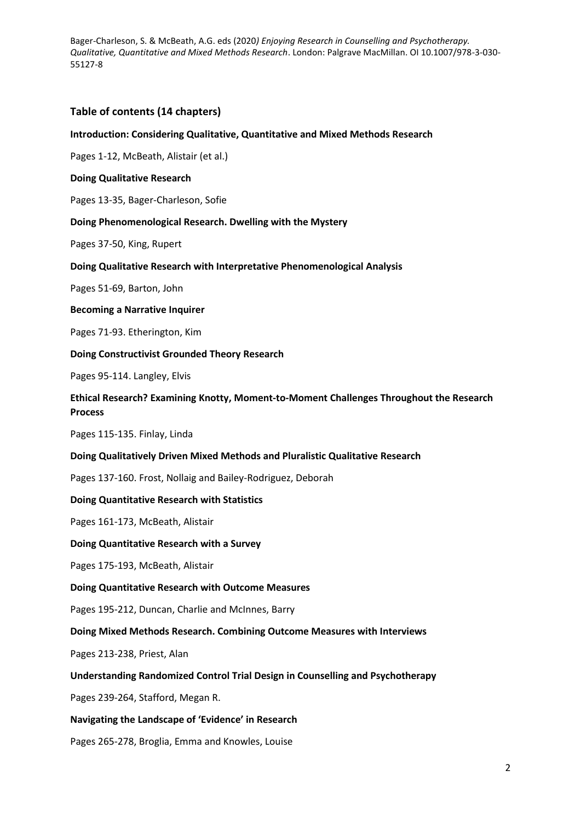Bager-Charleson, S. & McBeath, A.G. eds (2020*) Enjoying Research in Counselling and Psychotherapy. Qualitative, Quantitative and Mixed Methods Research*. London: Palgrave MacMillan. OI 10.1007/978-3-030- 55127-8

# **Table of contents (14 chapters)**

# **Introduction: Considering Qualitative, Quantitative and Mixed Methods Research**

Pages 1-12, McBeath, Alistair (et al.)

# **Doing Qualitative Research**

Pages 13-35, Bager-Charleson, Sofie

### **Doing Phenomenological Research. Dwelling with the Mystery**

Pages 37-50, King, Rupert

# **Doing Qualitative Research with Interpretative Phenomenological Analysis**

Pages 51-69, Barton, John

# **Becoming a Narrative Inquirer**

Pages 71-93. Etherington, Kim

# **Doing Constructivist Grounded Theory Research**

Pages 95-114. Langley, Elvis

# **Ethical Research? Examining Knotty, Moment-to-Moment Challenges Throughout the Research Process**

Pages 115-135. Finlay, Linda

# **Doing Qualitatively Driven Mixed Methods and Pluralistic Qualitative Research**

Pages 137-160. Frost, Nollaig and Bailey-Rodriguez, Deborah

### **Doing Quantitative Research with Statistics**

Pages 161-173, McBeath, Alistair

#### **Doing Quantitative Research with a Survey**

Pages 175-193, McBeath, Alistair

### **Doing Quantitative Research with Outcome Measures**

Pages 195-212, Duncan, Charlie and McInnes, Barry

# **Doing Mixed Methods Research. Combining Outcome Measures with Interviews**

Pages 213-238, Priest, Alan

# **Understanding Randomized Control Trial Design in Counselling and Psychotherapy**

Pages 239-264, Stafford, Megan R.

### **Navigating the Landscape of 'Evidence' in Research**

Pages 265-278, Broglia, Emma and Knowles, Louise